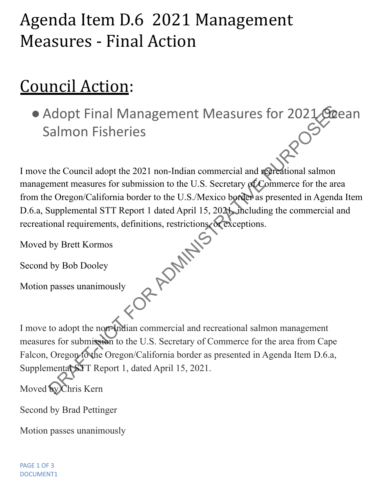## Agenda Item D.6 2021 Management Measures - Final Action

## Council Action:

• Adopt Final Management Measures for 2021 Ocean<br>Salmon Fisheries Salmon Fisheries

I move the Council adopt the 2021 non-Indian commercial and recreational salmon management measures for submission to the U.S. Secretary of Commerce for the area from the Oregon/California border to the U.S./Mexico border as presented in Agenda Item D.6.a, Supplemental STT Report 1 dated April 15, 2021, including the commercial and recreational requirements, definitions, restrictions, or exceptions. **PRAFTIS** 

Moved by Brett Kormos

Second by Bob Dooley

Motion passes unanimously

I move to adopt the non-Indian commercial and recreational salmon management measures for submission to the U.S. Secretary of Commerce for the area from Cape Falcon, Oregon to the Oregon/California border as presented in Agenda Item D.6.a, Supplemental STT Report 1, dated April 15, 2021.

Moved by Chris Kern

Second by Brad Pettinger

Motion passes unanimously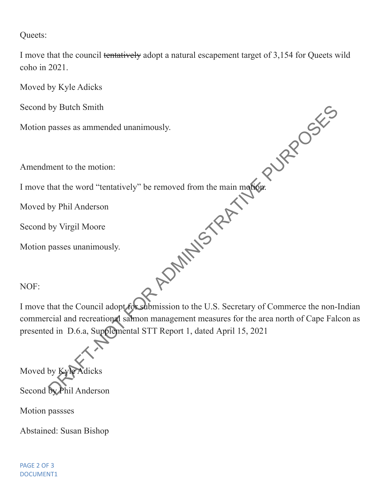Queets:

I move that the council tentatively adopt a natural escapement target of 3,154 for Queets wild coho in 2021.

Moved by Kyle Adicks

Second by Butch Smith

Motion passes as ammended unanimously.

Amendment to the motion:

I move that the word "tentatively" be removed from the main motion.

Moved by Phil Anderson

Second by Virgil Moore

Motion passes unanimously.

NOF:

I move that the Council adopt for submission to the U.S. Secretary of Commerce the non-Indian commercial and recreational salmon management measures for the area north of Cape Falcon as presented in D.6.a, Supplemental STT Report 1, dated April 15, 2021 by Butch Smith<br>passes as ammended unanimously.<br>that the word "tentatively" be removed from the main moreonery<br>by Phil Anderson<br>by Virgil Moore<br>passes unanimously.<br>that the Council adopt the abmission to the U.S. Secretary

Moved by Kyle Adicks Second by Phil Anderson

Motion passses

Abstained: Susan Bishop